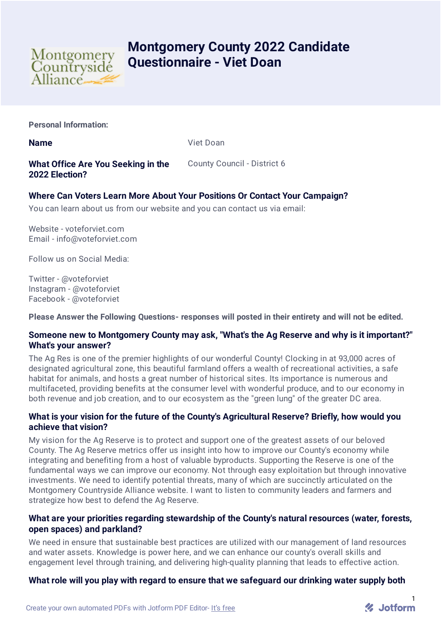

# **Montgomery County 2022 Candidate Questionnaire - Viet Doan**

**Personal Information:**

**Name** Viet Doan

**What Office Are You Seeking in the 2022 Election?**

County Council - District 6

# **Where Can Voters Learn More About Your Positions Or Contact Your Campaign?**

You can learn about us from our website and you can contact us via email:

Website - voteforviet.com Email - info@voteforviet.com

Follow us on Social Media:

Twitter - @voteforviet Instagram - @voteforviet Facebook - @voteforviet

**Please Answer the Following Questions- responses will posted in their entirety and will not be edited.**

# **Someone new to Montgomery County may ask, "What's the Ag Reserve and why is it important?" What's your answer?**

The Ag Res is one of the premier highlights of our wonderful County! Clocking in at 93,000 acres of designated agricultural zone, this beautiful farmland offers a wealth of recreational activities, a safe habitat for animals, and hosts a great number of historical sites. Its importance is numerous and multifaceted, providing benefits at the consumer level with wonderful produce, and to our economy in both revenue and job creation, and to our ecosystem as the "green lung" of the greater DC area.

# **What is your vision for the future of the County's Agricultural Reserve? Briefly, how would you achieve that vision?**

My vision for the Ag Reserve is to protect and support one of the greatest assets of our beloved County. The Ag Reserve metrics offer us insight into how to improve our County's economy while integrating and benefiting from a host of valuable byproducts. Supporting the Reserve is one of the fundamental ways we can improve our economy. Not through easy exploitation but through innovative investments. We need to identify potential threats, many of which are succinctly articulated on the Montgomery Countryside Alliance website. I want to listen to community leaders and farmers and strategize how best to defend the Ag Reserve.

# **What are your priorities regarding stewardship of the County's natural resources (water, forests, open spaces) and parkland?**

We need in ensure that sustainable best practices are utilized with our management of land resources and water assets. Knowledge is power here, and we can enhance our county's overall skills and engagement level through training, and delivering high-quality planning that leads to effective action.

# **What role will you play with regard to ensure that we safeguard our drinking water supply both**